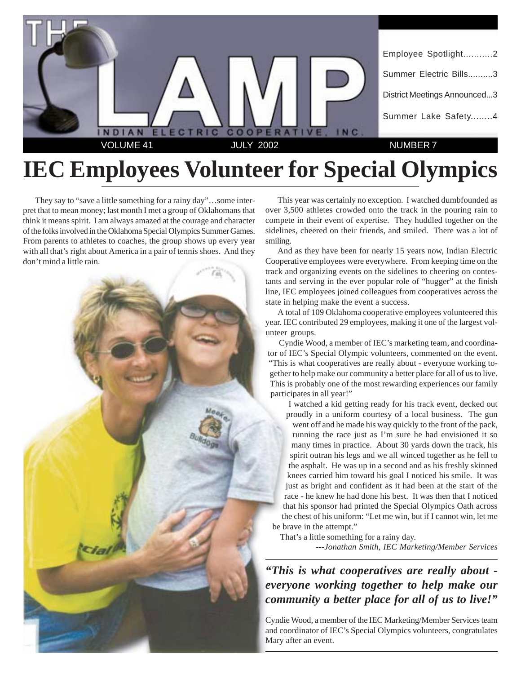

# **IEC Employees Volunteer for Special Olympics**

They say to "save a little something for a rainy day"…some interpret that to mean money; last month I met a group of Oklahomans that think it means spirit. I am always amazed at the courage and character of the folks involved in the Oklahoma Special Olympics Summer Games. From parents to athletes to coaches, the group shows up every year with all that's right about America in a pair of tennis shoes. And they don't mind a little rain.



This year was certainly no exception. I watched dumbfounded as over 3,500 athletes crowded onto the track in the pouring rain to compete in their event of expertise. They huddled together on the sidelines, cheered on their friends, and smiled. There was a lot of smiling.

And as they have been for nearly 15 years now, Indian Electric Cooperative employees were everywhere. From keeping time on the track and organizing events on the sidelines to cheering on contestants and serving in the ever popular role of "hugger" at the finish line, IEC employees joined colleagues from cooperatives across the state in helping make the event a success.

A total of 109 Oklahoma cooperative employees volunteered this year. IEC contributed 29 employees, making it one of the largest volunteer groups.

Cyndie Wood, a member of IEC's marketing team, and coordinator of IEC's Special Olympic volunteers, commented on the event. "This is what cooperatives are really about - everyone working together to help make our community a better place for all of us to live. This is probably one of the most rewarding experiences our family participates in all year!"

I watched a kid getting ready for his track event, decked out proudly in a uniform courtesy of a local business. The gun went off and he made his way quickly to the front of the pack, running the race just as I'm sure he had envisioned it so many times in practice. About 30 yards down the track, his spirit outran his legs and we all winced together as he fell to the asphalt. He was up in a second and as his freshly skinned knees carried him toward his goal I noticed his smile. It was just as bright and confident as it had been at the start of the race - he knew he had done his best. It was then that I noticed that his sponsor had printed the Special Olympics Oath across the chest of his uniform: "Let me win, but if I cannot win, let me be brave in the attempt."

That's a little something for a rainy day. *---Jonathan Smith, IEC Marketing/Member Services*

*"This is what cooperatives are really about everyone working together to help make our community a better place for all of us to live!"*

Cyndie Wood, a member of the IEC Marketing/Member Services team and coordinator of IEC's Special Olympics volunteers, congratulates Mary after an event.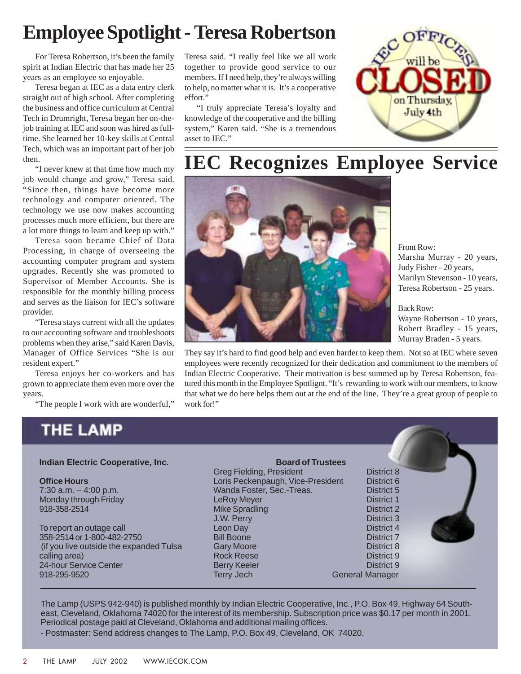## **Employee Spotlight - Teresa Robertson**

For Teresa Robertson, it's been the family spirit at Indian Electric that has made her 25 years as an employee so enjoyable.

Teresa began at IEC as a data entry clerk straight out of high school. After completing the business and office curriculum at Central Tech in Drumright, Teresa began her on-thejob training at IEC and soon was hired as fulltime. She learned her 10-key skills at Central Tech, which was an important part of her job then.

"I never knew at that time how much my job would change and grow," Teresa said. "Since then, things have become more technology and computer oriented. The technology we use now makes accounting processes much more efficient, but there are a lot more things to learn and keep up with."

Teresa soon became Chief of Data Processing, in charge of overseeing the accounting computer program and system upgrades. Recently she was promoted to Supervisor of Member Accounts. She is responsible for the monthly billing process and serves as the liaison for IEC's software provider.

"Teresa stays current with all the updates to our accounting software and troubleshoots problems when they arise," said Karen Davis, Manager of Office Services "She is our resident expert."

Teresa enjoys her co-workers and has grown to appreciate them even more over the years.

"The people I work with are wonderful,"

Teresa said. "I really feel like we all work together to provide good service to our members. If I need help, they're always willing to help, no matter what it is. It's a cooperative effort."

"I truly appreciate Teresa's loyalty and knowledge of the cooperative and the billing system," Karen said. "She is a tremendous asset to IEC."



### **IEC Recognizes Employee Service**



Front Row: Marsha Murray - 20 years, Judy Fisher - 20 years, Marilyn Stevenson - 10 years, Teresa Robertson - 25 years.

Back Row: Wayne Robertson - 10 years,

Robert Bradley - 15 years, Murray Braden - 5 years.

They say it's hard to find good help and even harder to keep them. Not so at IEC where seven employees were recently recognized for their dedication and commitment to the members of Indian Electric Cooperative. Their motivation is best summed up by Teresa Robertson, featured this month in the Employee Spotlignt. "It's rewarding to work with our members, to know that what we do here helps them out at the end of the line. They're a great group of people to work for!"

### **THE LAMP**

#### **Indian Electric Cooperative, Inc.**

**Office Hours**

7:30 a.m. – 4:00 p.m. Monday through Friday 918-358-2514

To report an outage call 358-2514 or 1-800-482-2750 (if you live outside the expanded Tulsa calling area) 24-hour Service Center 918-295-9520

**Board of Trustees** Greg Fielding, President **District 8** Loris Peckenpaugh, Vice-President District 6 Wanda Foster, Sec.-Treas. District 5 LeRoy Meyer **District 1** Mike Spradling District 2 J.W. Perry District 3 Leon Day District 4 Bill Boone District 7 Gary Moore **District 8** Rock Reese District 9 Berry Keeler **District 9 District 9** Terry Jech General Manager

The Lamp (USPS 942-940) is published monthly by Indian Electric Cooperative, Inc., P.O. Box 49, Highway 64 Southeast, Cleveland, Oklahoma 74020 for the interest of its membership. Subscription price was \$0.17 per month in 2001. Periodical postage paid at Cleveland, Oklahoma and additional mailing offices.

- Postmaster: Send address changes to The Lamp, P.O. Box 49, Cleveland, OK 74020.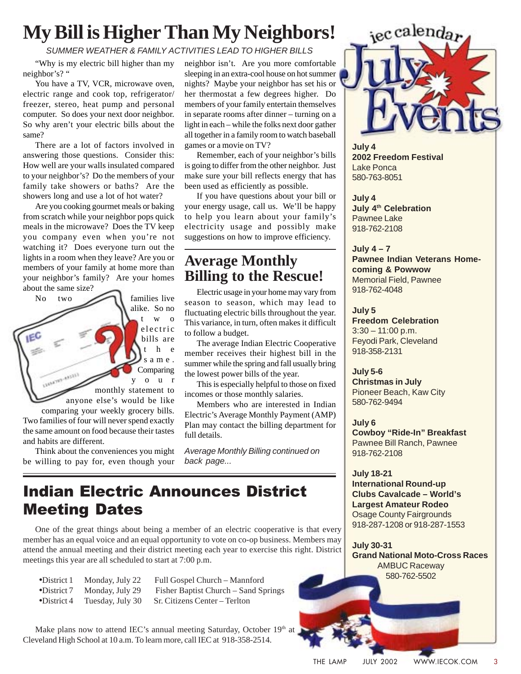## **My Bill is Higher Than My Neighbors!**

#### SUMMER WEATHER & FAMILY ACTIVITIES LEAD TO HIGHER BILLS

"Why is my electric bill higher than my neighbor's? "

You have a TV, VCR, microwave oven, electric range and cook top, refrigerator/ freezer, stereo, heat pump and personal computer. So does your next door neighbor. So why aren't your electric bills about the same?

There are a lot of factors involved in answering those questions. Consider this: How well are your walls insulated compared to your neighbor's? Do the members of your family take showers or baths? Are the showers long and use a lot of hot water?

Are you cooking gourmet meals or baking from scratch while your neighbor pops quick meals in the microwave? Does the TV keep you company even when you're not watching it? Does everyone turn out the lights in a room when they leave? Are you or members of your family at home more than your neighbor's family? Are your homes about the same size?

No two  $\sim$  families live alike. So no two electric bills are t h e same. Comparing LEGANTES-45555 your monthly statement to anyone else's would be like comparing your weekly grocery bills. Two families of four will never spend exactly the same amount on food because their tastes

and habits are different. Think about the conveniences you might be willing to pay for, even though your neighbor isn't. Are you more comfortable sleeping in an extra-cool house on hot summer nights? Maybe your neighbor has set his or her thermostat a few degrees higher. Do members of your family entertain themselves in separate rooms after dinner – turning on a light in each – while the folks next door gather all together in a family room to watch baseball games or a movie on TV?

Remember, each of your neighbor's bills is going to differ from the other neighbor. Just make sure your bill reflects energy that has been used as efficiently as possible.

If you have questions about your bill or your energy usage, call us. We'll be happy to help you learn about your family's electricity usage and possibly make suggestions on how to improve efficiency.

#### **Average Monthly Billing to the Rescue!**

Electric usage in your home may vary from season to season, which may lead to fluctuating electric bills throughout the year. This variance, in turn, often makes it difficult to follow a budget.

The average Indian Electric Cooperative member receives their highest bill in the summer while the spring and fall usually bring the lowest power bills of the year.

This is especially helpful to those on fixed incomes or those monthly salaries.

Members who are interested in Indian Electric's Average Monthly Payment (AMP) Plan may contact the billing department for full details.

Average Monthly Billing continued on back page...

### **Indian Electric Announces District Meeting Dates**

One of the great things about being a member of an electric cooperative is that every member has an equal voice and an equal opportunity to vote on co-op business. Members may attend the annual meeting and their district meeting each year to exercise this right. District meetings this year are all scheduled to start at 7:00 p.m.

•District 1 Monday, July 22 Full Gospel Church – Mannford

•District 7 Monday, July 29 Fisher Baptist Church – Sand Springs •District 4 Tuesday, July 30 Sr. Citizens Center – Terlton

Make plans now to attend IEC's annual meeting Saturday, October 19th at Cleveland High School at 10 a.m. To learn more, call IEC at 918-358-2514.



**July 4 2002 Freedom Festival** Lake Ponca 580-763-8051

**July 4 July 4<sup>th</sup> Celebration** Pawnee Lake 918-762-2108

**July 4 – 7 Pawnee Indian Veterans Homecoming & Powwow** Memorial Field, Pawnee 918-762-4048

**July 5 Freedom Celebration**  $3:30 - 11:00$  p.m. Feyodi Park, Cleveland 918-358-2131

**July 5-6 Christmas in July** Pioneer Beach, Kaw City 580-762-9494

**July 6 Cowboy "Ride-In" Breakfast** Pawnee Bill Ranch, Pawnee 918-762-2108

**July 18-21 International Round-up Clubs Cavalcade – World's Largest Amateur Rodeo** Osage County Fairgrounds 918-287-1208 or 918-287-1553

**July 30-31 Grand National Moto-Cross Races** AMBUC Raceway 580-762-5502